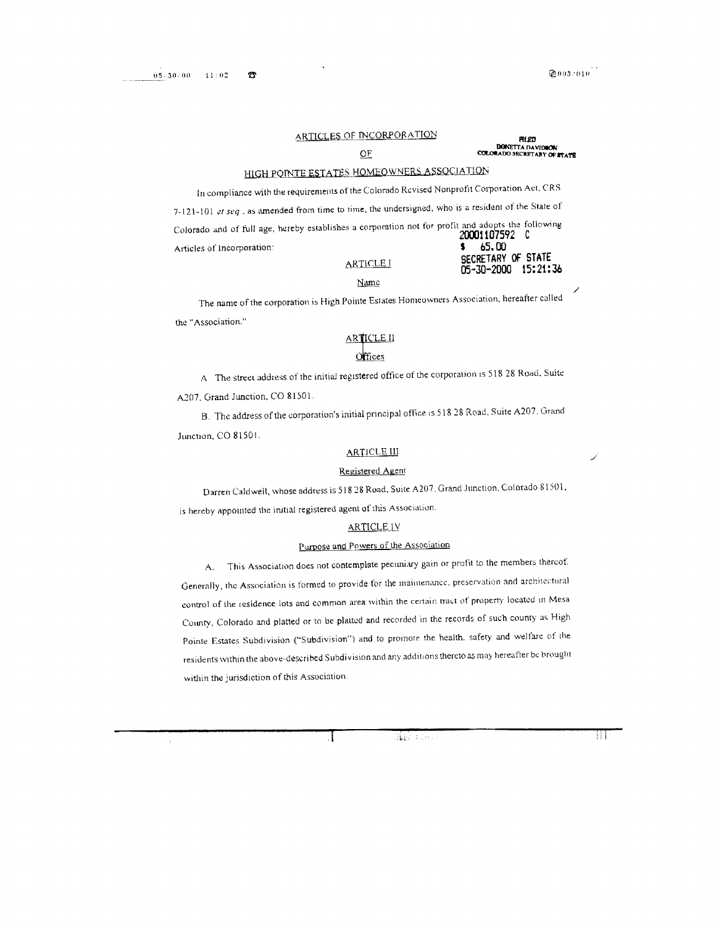Đ

#### ARTICLES OF INCORPORATION

#### **OF**

**RLED DONETTA DAVIDON<br>COLORADO SECRETARY OF STATE** 

05-30-2000 15:21:36

# HIGH POINTE ESTATES HOMEOWNERS ASSOCIATION

In compliance with the requirements of the Colorado Revised Nonprofit Corporation Act, CRS 7-121-101 et seq., as amended from time to time, the undersigned, who is a resident of the State of Colorado and of full age, hereby establishes a corporation not for profit and adopts the following 20001107592 C Articles of Incorporation: 65.00 SECRETARY OF STATE

#### **ARTICLE** I

#### Name

The name of the corporation is High Pointe Estates Homeowners Association, hereafter called the "Association."

# ARTICLE II

A The street address of the initial registered office of the corporation is 518 28 Road, Suite A207, Grand Junction, CO 81501.

B. The address of the corporation's initial principal office is 518 28 Road, Suite A207. Grand Junction, CO 81501.

# **ARTICLE III**

# Registered Agent

Darren Caldwell, whose address is 518 28 Road, Suite A207, Grand Junction, Colorado 81501,

is hereby appointed the initial registered agent of this Association.

#### **ARTICLE IV**

# Purpose and Powers of the Association

This Association does not contemplate pecuniary gain or profit to the members thereof. A. Generally, the Association is formed to provide for the maintenance, preservation and architectural control of the residence lots and common area within the certain tract of property located in Mesa County, Colorado and platted or to be platted and recorded in the records of such county as High Pointe Estates Subdivision ("Subdivision") and to promote the health, safety and welfare of the residents within the above-described Subdivision and any additions thereto as may hereafter be brought within the jurisdiction of this Association.

lia 40a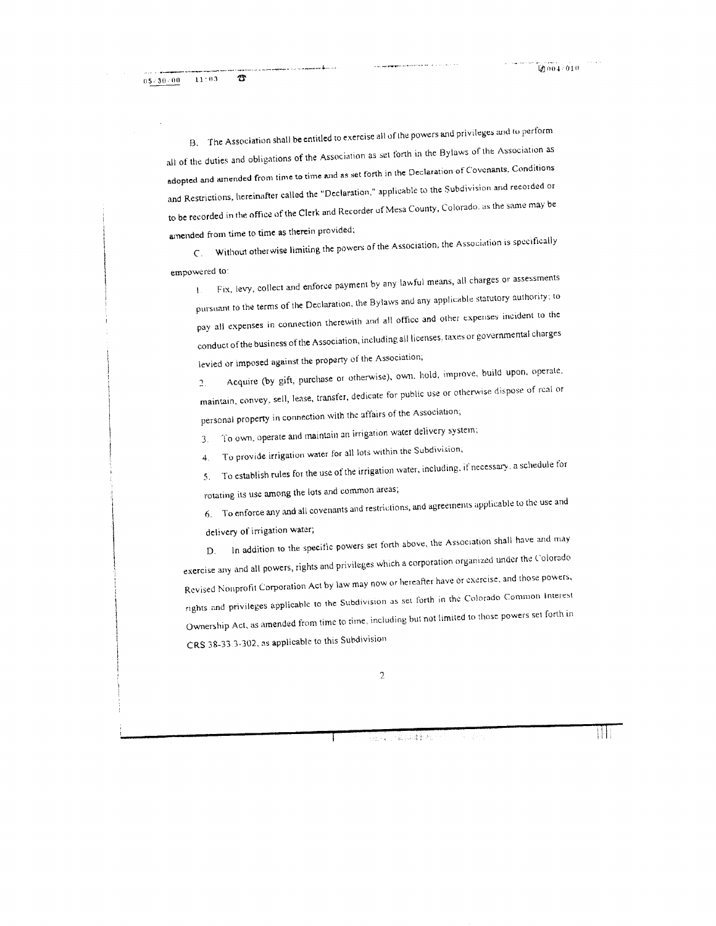B. The Association shall be entitled to exercise all of the powers and privileges and to perform all of the duties and obligations of the Association as set forth in the Bylaws of the Association as adopted and ainended from time to time and as set forth in the Declaration of Covenants, Conditions and Restrictions, hereinafter called the "Declaration," applicable to the Subdivision and recorded or to be recorded in the office of the Clerk and Recorder of Mesa County, Colorado, as the same may be amended from time to time as therein provided;

Without otherwise limiting the powers of the Association, the Association is specifically  $C_{\odot}$ empowered to:

Fix, levy, collect and enforce payment by any lawful means, all charges or assessments  $\mathbf{L}$ pursuant to the terms of the Declaration, the Bylaws and any applicable statutory authority; to pay all expenses in connection therewith and all office and other expenses incident to the conduct of the business of the Association, including all licenses, taxes or governmental charges levied or imposed against the property of the Association;

Acquire (by gift, purchase or otherwise), own. hold, improve, build upon, operate,  $\overline{2}$ . maintain, convey, sell, lease, transfer, dedicate for public use or otherwise dispose of real or personal property in connection with the affairs of the Association;

To own, operate and maintain an irrigation water delivery system;  $3.$ 

To provide irrigation water for all lots within the Subdivision;  $4.$ 

To establish rules for the use of the irrigation water, including, if necessary, a schedule for  $5<sub>1</sub>$ rotating its use among the lots and common areas;

6. To enforce any and all covenants and restrictions, and agreements applicable to the use and delivery of irrigation water;

In addition to the specific powers set forth above, the Association shall have and may  $\mathbf{D}$ exercise any and all powers, rights and privileges which a corporation organized under the Colorado Revised Nonprofit Corporation Act by law may now or hereafter have or exercise, and those powers, rights and privileges applicable to the Subdivision as set forth in the Colorado Common Interest Ownership Act, as amended from time to time, including but not limited to those powers set forth in CRS 38-33.3-302, as applicable to this Subdivision

(出版) 化碳钡硅氧的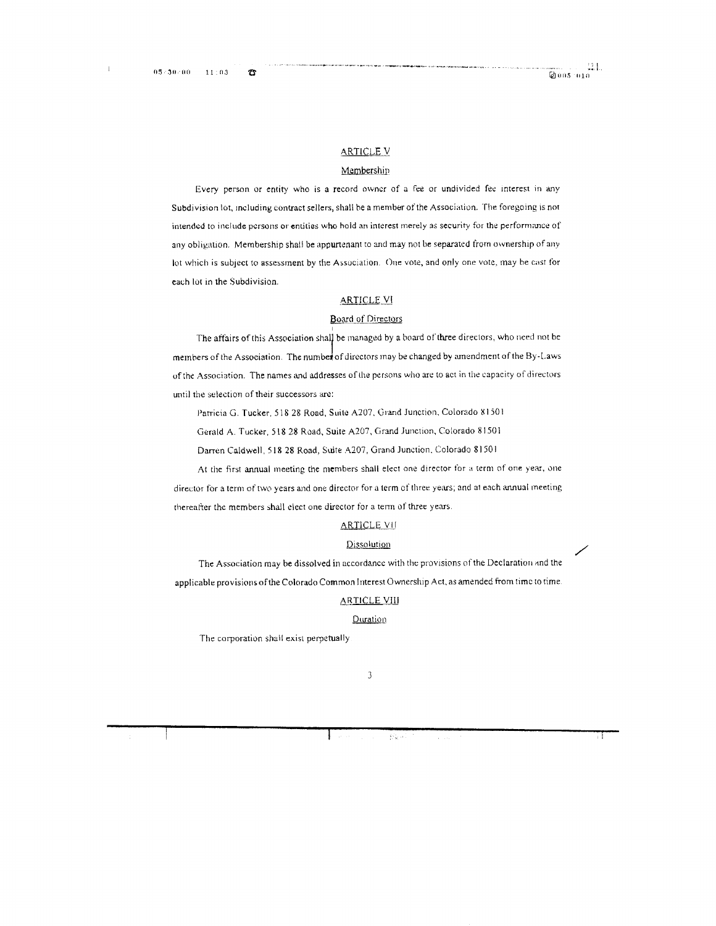15

## **ARTICLE V**

# Membership

Every person or entity who is a record owner of a fee or undivided fee interest in any Subdivision lot, including contract sellers, shall be a member of the Association. The foregoing is not intended to include persons or entities who hold an interest merely as security for the performance of any obligation. Membership shall be appurtenant to and may not be separated from ownership of any lot which is subject to assessment by the Association. One vote, and only one vote, may be cast for each lot in the Subdivision.

#### **ARTICLE VI**

# **Board of Directors**

The affairs of this Association shall be managed by a board of three directors, who need not be members of the Association. The number of directors may be changed by amendment of the By-Laws of the Association. The names and addresses of the persons who are to act in the capacity of directors until the selection of their successors are:

Patricia G. Tucker, 518 28 Road, Suite A207, Grand Junction, Colorado 81501

Gerald A. Tucker, 518 28 Road, Suite A207, Grand Junction, Colorado 81501

Darren Caldwell, 518 28 Road, Suite A207, Grand Junction, Colorado 81501

At the first annual meeting the members shall elect one director for a term of one year, one director for a term of two years and one director for a term of three years; and at each annual meeting thereafter the members shall elect one director for a term of three years.

#### **ARTICLE VII**

#### Dissolution

The Association may be dissolved in accordance with the provisions of the Declaration and the applicable provisions of the Colorado Common Interest Ownership Act, as amended from time to time.

#### **ARTICLE VIII**

#### **Quration**

The corporation shall exist perpetually

松泉市